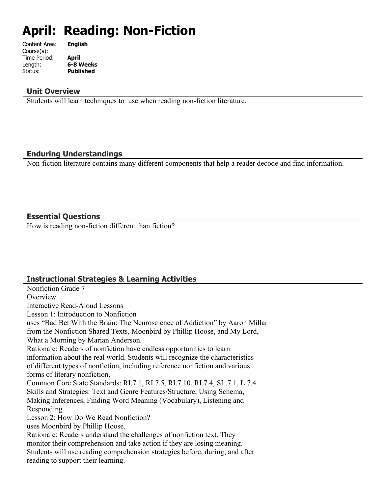# **April: Reading: Non-Fiction**

| Content Area: | <b>English</b>   |
|---------------|------------------|
| Course(s):    |                  |
| Time Period:  | April            |
| Length:       | 6-8 Weeks        |
| Status:       | <b>Published</b> |
|               |                  |

#### **Unit Overview**

Students will learn techniques to use when reading non-fiction literature.

# **Enduring Understandings**

Non-fiction literature contains many different components that help a reader decode and find information.

#### **Essential Questions**

How is reading non-fiction different than fiction?

# **Instructional Strategies & Learning Activities**

Nonfiction Grade 7 **Overview** Interactive Read-Aloud Lessons Lesson 1: Introduction to Nonfiction uses "Bad Bet With the Brain: The Neuroscience of Addiction" by Aaron Millar from the Nonfiction Shared Texts, Moonbird by Phillip Hoose, and My Lord, What a Morning by Marian Anderson. Rationale: Readers of nonfiction have endless opportunities to learn information about the real world. Students will recognize the characteristics of different types of nonfiction, including reference nonfiction and various forms of literary nonfiction. Common Core State Standards: RI.7.1, RI.7.5, RI.7.10, RI.7.4, SL.7.1, L.7.4 Skills and Strategies: Text and Genre Features/Structure, Using Schema, Making Inferences, Finding Word Meaning (Vocabulary), Listening and Responding Lesson 2: How Do We Read Nonfiction? uses Moonbird by Phillip Hoose. Rationale: Readers understand the challenges of nonfiction text. They monitor their comprehension and take action if they are losing meaning. Students will use reading comprehension strategies before, during, and after reading to support their learning.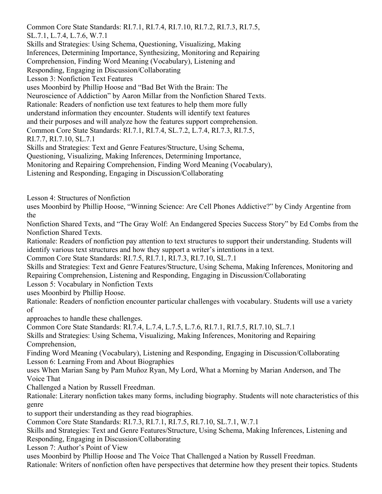Common Core State Standards: RI.7.1, RI.7.4, RI.7.10, RI.7.2, RI.7.3, RI.7.5, SL.7.1, L.7.4, L.7.6, W.7.1 Skills and Strategies: Using Schema, Questioning, Visualizing, Making

Inferences, Determining Importance, Synthesizing, Monitoring and Repairing

Comprehension, Finding Word Meaning (Vocabulary), Listening and

Responding, Engaging in Discussion/Collaborating

Lesson 3: Nonfiction Text Features

uses Moonbird by Phillip Hoose and "Bad Bet With the Brain: The

Neuroscience of Addiction" by Aaron Millar from the Nonfiction Shared Texts.

Rationale: Readers of nonfiction use text features to help them more fully

understand information they encounter. Students will identify text features

and their purposes and will analyze how the features support comprehension.

Common Core State Standards: RI.7.1, RI.7.4, SL.7.2, L.7.4, RI.7.3, RI.7.5,

RI.7.7, RI.7.10, SL.7.1

Skills and Strategies: Text and Genre Features/Structure, Using Schema,

Questioning, Visualizing, Making Inferences, Determining Importance,

Monitoring and Repairing Comprehension, Finding Word Meaning (Vocabulary),

Listening and Responding, Engaging in Discussion/Collaborating

Lesson 4: Structures of Nonfiction

uses Moonbird by Phillip Hoose, "Winning Science: Are Cell Phones Addictive?" by Cindy Argentine from the

Nonfiction Shared Texts, and "The Gray Wolf: An Endangered Species Success Story" by Ed Combs from the Nonfiction Shared Texts.

Rationale: Readers of nonfiction pay attention to text structures to support their understanding. Students will identify various text structures and how they support a writer's intentions in a text.

Common Core State Standards: RI.7.5, RI.7.1, RI.7.3, RI.7.10, SL.7.1

Skills and Strategies: Text and Genre Features/Structure, Using Schema, Making Inferences, Monitoring and Repairing Comprehension, Listening and Responding, Engaging in Discussion/Collaborating

Lesson 5: Vocabulary in Nonfiction Texts

uses Moonbird by Phillip Hoose.

Rationale: Readers of nonfiction encounter particular challenges with vocabulary. Students will use a variety of

approaches to handle these challenges.

Common Core State Standards: RI.7.4, L.7.4, L.7.5, L.7.6, RI.7.1, RI.7.5, RI.7.10, SL.7.1

Skills and Strategies: Using Schema, Visualizing, Making Inferences, Monitoring and Repairing Comprehension,

Finding Word Meaning (Vocabulary), Listening and Responding, Engaging in Discussion/Collaborating Lesson 6: Learning From and About Biographies

uses When Marian Sang by Pam Muñoz Ryan, My Lord, What a Morning by Marian Anderson, and The Voice That

Challenged a Nation by Russell Freedman.

Rationale: Literary nonfiction takes many forms, including biography. Students will note characteristics of this genre

to support their understanding as they read biographies.

Common Core State Standards: RI.7.3, RI.7.1, RI.7.5, RI.7.10, SL.7.1, W.7.1

Skills and Strategies: Text and Genre Features/Structure, Using Schema, Making Inferences, Listening and

Responding, Engaging in Discussion/Collaborating

Lesson 7: Author's Point of View

uses Moonbird by Phillip Hoose and The Voice That Challenged a Nation by Russell Freedman.

Rationale: Writers of nonfiction often have perspectives that determine how they present their topics. Students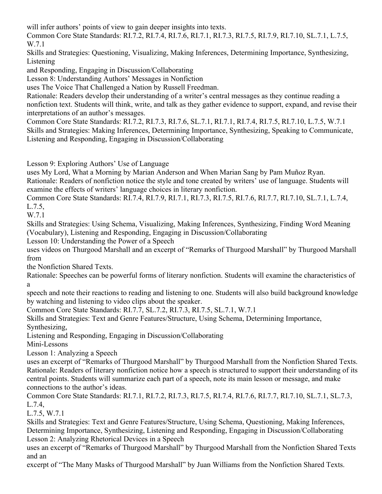will infer authors' points of view to gain deeper insights into texts.

Common Core State Standards: RI.7.2, RI.7.4, RI.7.6, RI.7.1, RI.7.3, RI.7.5, RI.7.9, RI.7.10, SL.7.1, L.7.5, W.7.1

Skills and Strategies: Questioning, Visualizing, Making Inferences, Determining Importance, Synthesizing, Listening

and Responding, Engaging in Discussion/Collaborating

Lesson 8: Understanding Authors' Messages in Nonfiction

uses The Voice That Challenged a Nation by Russell Freedman.

Rationale: Readers develop their understanding of a writer's central messages as they continue reading a nonfiction text. Students will think, write, and talk as they gather evidence to support, expand, and revise their interpretations of an author's messages.

Common Core State Standards: RI.7.2, RI.7.3, RI.7.6, SL.7.1, RI.7.1, RI.7.4, RI.7.5, RI.7.10, L.7.5, W.7.1 Skills and Strategies: Making Inferences, Determining Importance, Synthesizing, Speaking to Communicate, Listening and Responding, Engaging in Discussion/Collaborating

Lesson 9: Exploring Authors' Use of Language

uses My Lord, What a Morning by Marian Anderson and When Marian Sang by Pam Muñoz Ryan. Rationale: Readers of nonfiction notice the style and tone created by writers' use of language. Students will

examine the effects of writers' language choices in literary nonfiction.

Common Core State Standards: RI.7.4, RI.7.9, RI.7.1, RI.7.3, RI.7.5, RI.7.6, RI.7.7, RI.7.10, SL.7.1, L.7.4, L.7.5,

W.7.1

Skills and Strategies: Using Schema, Visualizing, Making Inferences, Synthesizing, Finding Word Meaning (Vocabulary), Listening and Responding, Engaging in Discussion/Collaborating

Lesson 10: Understanding the Power of a Speech

uses videos on Thurgood Marshall and an excerpt of "Remarks of Thurgood Marshall" by Thurgood Marshall from

the Nonfiction Shared Texts.

Rationale: Speeches can be powerful forms of literary nonfiction. Students will examine the characteristics of a

speech and note their reactions to reading and listening to one. Students will also build background knowledge by watching and listening to video clips about the speaker.

Common Core State Standards: RI.7.7, SL.7.2, RI.7.3, RI.7.5, SL.7.1, W.7.1

Skills and Strategies: Text and Genre Features/Structure, Using Schema, Determining Importance, Synthesizing,

Listening and Responding, Engaging in Discussion/Collaborating Mini-Lessons

Lesson 1: Analyzing a Speech

uses an excerpt of "Remarks of Thurgood Marshall" by Thurgood Marshall from the Nonfiction Shared Texts. Rationale: Readers of literary nonfiction notice how a speech is structured to support their understanding of its central points. Students will summarize each part of a speech, note its main lesson or message, and make connections to the author's ideas.

Common Core State Standards: RI.7.1, RI.7.2, RI.7.3, RI.7.5, RI.7.4, RI.7.6, RI.7.7, RI.7.10, SL.7.1, SL.7.3, L.7.4,

L.7.5, W.7.1

Skills and Strategies: Text and Genre Features/Structure, Using Schema, Questioning, Making Inferences, Determining Importance, Synthesizing, Listening and Responding, Engaging in Discussion/Collaborating Lesson 2: Analyzing Rhetorical Devices in a Speech

uses an excerpt of "Remarks of Thurgood Marshall" by Thurgood Marshall from the Nonfiction Shared Texts and an

excerpt of "The Many Masks of Thurgood Marshall" by Juan Williams from the Nonfiction Shared Texts.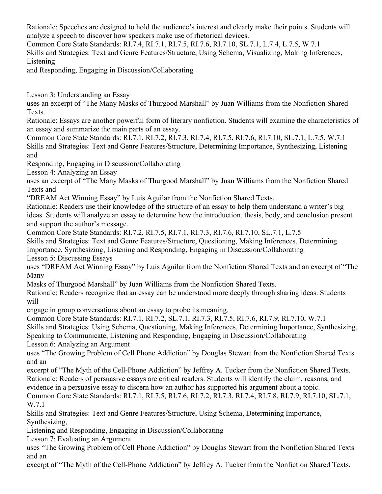Rationale: Speeches are designed to hold the audience's interest and clearly make their points. Students will analyze a speech to discover how speakers make use of rhetorical devices.

Common Core State Standards: RI.7.4, RI.7.1, RI.7.5, RI.7.6, RI.7.10, SL.7.1, L.7.4, L.7.5, W.7.1 Skills and Strategies: Text and Genre Features/Structure, Using Schema, Visualizing, Making Inferences, Listening

and Responding, Engaging in Discussion/Collaborating

Lesson 3: Understanding an Essay

uses an excerpt of "The Many Masks of Thurgood Marshall" by Juan Williams from the Nonfiction Shared Texts.

Rationale: Essays are another powerful form of literary nonfiction. Students will examine the characteristics of an essay and summarize the main parts of an essay.

Common Core State Standards: RI.7.1, RI.7.2, RI.7.3, RI.7.4, RI.7.5, RI.7.6, RI.7.10, SL.7.1, L.7.5, W.7.1 Skills and Strategies: Text and Genre Features/Structure, Determining Importance, Synthesizing, Listening and

Responding, Engaging in Discussion/Collaborating

Lesson 4: Analyzing an Essay

uses an excerpt of "The Many Masks of Thurgood Marshall" by Juan Williams from the Nonfiction Shared Texts and

"DREAM Act Winning Essay" by Luis Aguilar from the Nonfiction Shared Texts.

Rationale: Readers use their knowledge of the structure of an essay to help them understand a writer's big ideas. Students will analyze an essay to determine how the introduction, thesis, body, and conclusion present and support the author's message.

Common Core State Standards: RI.7.2, RI.7.5, RI.7.1, RI.7.3, RI.7.6, RI.7.10, SL.7.1, L.7.5

Skills and Strategies: Text and Genre Features/Structure, Questioning, Making Inferences, Determining Importance, Synthesizing, Listening and Responding, Engaging in Discussion/Collaborating Lesson 5: Discussing Essays

uses "DREAM Act Winning Essay" by Luis Aguilar from the Nonfiction Shared Texts and an excerpt of "The Many

Masks of Thurgood Marshall" by Juan Williams from the Nonfiction Shared Texts.

Rationale: Readers recognize that an essay can be understood more deeply through sharing ideas. Students will

engage in group conversations about an essay to probe its meaning.

Common Core State Standards: RI.7.1, RI.7.2, SL.7.1, RI.7.3, RI.7.5, RI.7.6, RI.7.9, RI.7.10, W.7.1

Skills and Strategies: Using Schema, Questioning, Making Inferences, Determining Importance, Synthesizing, Speaking to Communicate, Listening and Responding, Engaging in Discussion/Collaborating

Lesson 6: Analyzing an Argument

uses "The Growing Problem of Cell Phone Addiction" by Douglas Stewart from the Nonfiction Shared Texts and an

excerpt of "The Myth of the Cell-Phone Addiction" by Jeffrey A. Tucker from the Nonfiction Shared Texts. Rationale: Readers of persuasive essays are critical readers. Students will identify the claim, reasons, and evidence in a persuasive essay to discern how an author has supported his argument about a topic.

Common Core State Standards: RI.7.1, RI.7.5, RI.7.6, RI.7.2, RI.7.3, RI.7.4, RI.7.8, RI.7.9, RI.7.10, SL.7.1, W.7.1

Skills and Strategies: Text and Genre Features/Structure, Using Schema, Determining Importance, Synthesizing,

Listening and Responding, Engaging in Discussion/Collaborating

Lesson 7: Evaluating an Argument

uses "The Growing Problem of Cell Phone Addiction" by Douglas Stewart from the Nonfiction Shared Texts and an

excerpt of "The Myth of the Cell-Phone Addiction" by Jeffrey A. Tucker from the Nonfiction Shared Texts.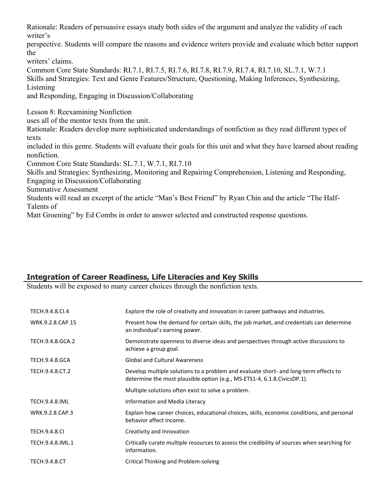Rationale: Readers of persuasive essays study both sides of the argument and analyze the validity of each writer's

perspective. Students will compare the reasons and evidence writers provide and evaluate which better support the

writers' claims.

Common Core State Standards: RI.7.1, RI.7.5, RI.7.6, RI.7.8, RI.7.9, RI.7.4, RI.7.10, SL.7.1, W.7.1 Skills and Strategies: Text and Genre Features/Structure, Questioning, Making Inferences, Synthesizing, Listening

and Responding, Engaging in Discussion/Collaborating

Lesson 8: Reexamining Nonfiction

uses all of the mentor texts from the unit.

Rationale: Readers develop more sophisticated understandings of nonfiction as they read different types of texts

included in this genre. Students will evaluate their goals for this unit and what they have learned about reading nonfiction.

Common Core State Standards: SL.7.1, W.7.1, RI.7.10

Skills and Strategies: Synthesizing, Monitoring and Repairing Comprehension, Listening and Responding, Engaging in Discussion/Collaborating

Summative Assessment

Students will read an excerpt of the article "Man's Best Friend" by Ryan Chin and the article "The Half-Talents of

Matt Groening" by Ed Combs in order to answer selected and constructed response questions.

# **Integration of Career Readiness, Life Literacies and Key Skills**

Students will be exposed to many career choices through the nonfiction texts.

| TECH.9.4.8.CI.4       | Explore the role of creativity and innovation in career pathways and industries.                                                                                   |
|-----------------------|--------------------------------------------------------------------------------------------------------------------------------------------------------------------|
| WRK.9.2.8.CAP.15      | Present how the demand for certain skills, the job market, and credentials can determine<br>an individual's earning power.                                         |
| TECH.9.4.8.GCA.2      | Demonstrate openness to diverse ideas and perspectives through active discussions to<br>achieve a group goal.                                                      |
| <b>TECH.9.4.8.GCA</b> | <b>Global and Cultural Awareness</b>                                                                                                                               |
| TECH.9.4.8.CT.2       | Develop multiple solutions to a problem and evaluate short- and long-term effects to<br>determine the most plausible option (e.g., MS-ETS1-4, 6.1.8. Civics DP.1). |
|                       | Multiple solutions often exist to solve a problem.                                                                                                                 |
| <b>TECH.9.4.8.IML</b> | Information and Media Literacy                                                                                                                                     |
| WRK.9.2.8.CAP.3       | Explain how career choices, educational choices, skills, economic conditions, and personal<br>behavior affect income.                                              |
| <b>TECH.9.4.8.CI</b>  | Creativity and Innovation                                                                                                                                          |
| TECH.9.4.8.IML.1      | Critically curate multiple resources to assess the credibility of sources when searching for<br>information.                                                       |
| <b>TECH.9.4.8.CT</b>  | Critical Thinking and Problem-solving                                                                                                                              |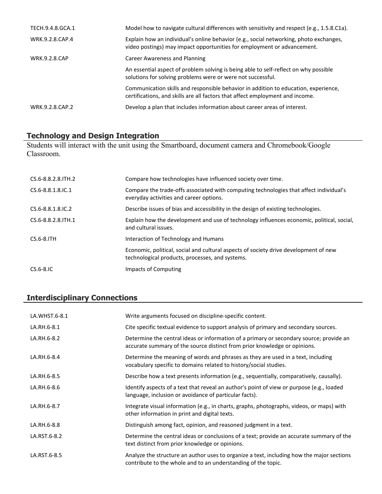| TECH.9.4.8.GCA.1     | Model how to navigate cultural differences with sensitivity and respect (e.g., 1.5.8.C1a).                                                                           |
|----------------------|----------------------------------------------------------------------------------------------------------------------------------------------------------------------|
| WRK.9.2.8.CAP.4      | Explain how an individual's online behavior (e.g., social networking, photo exchanges,<br>video postings) may impact opportunities for employment or advancement.    |
| <b>WRK.9.2.8.CAP</b> | Career Awareness and Planning                                                                                                                                        |
|                      | An essential aspect of problem solving is being able to self-reflect on why possible<br>solutions for solving problems were or were not successful.                  |
|                      | Communication skills and responsible behavior in addition to education, experience,<br>certifications, and skills are all factors that affect employment and income. |
| WRK.9.2.8.CAP.2      | Develop a plan that includes information about career areas of interest.                                                                                             |

# **Technology and Design Integration**

Students will interact with the unit using the Smartboard, document camera and Chromebook/Google Classroom.

| CS.6-8.8.2.8. TH.2  | Compare how technologies have influenced society over time.                                                                             |
|---------------------|-----------------------------------------------------------------------------------------------------------------------------------------|
| CS.6-8.8.1.8.IC.1   | Compare the trade-offs associated with computing technologies that affect individual's<br>everyday activities and career options.       |
| CS.6-8.8.1.8.IC.2   | Describe issues of bias and accessibility in the design of existing technologies.                                                       |
| CS.6-8.8.2.8. TH. 1 | Explain how the development and use of technology influences economic, political, social,<br>and cultural issues.                       |
| $CS.6-8.1TH$        | Interaction of Technology and Humans                                                                                                    |
|                     | Economic, political, social and cultural aspects of society drive development of new<br>technological products, processes, and systems. |
| $CS.6-8.1C$         | Impacts of Computing                                                                                                                    |
|                     |                                                                                                                                         |

# **Interdisciplinary Connections**

| LA.WHST.6-8.1 | Write arguments focused on discipline-specific content.                                                                                                              |
|---------------|----------------------------------------------------------------------------------------------------------------------------------------------------------------------|
| LA.RH.6-8.1   | Cite specific textual evidence to support analysis of primary and secondary sources.                                                                                 |
| LA.RH.6-8.2   | Determine the central ideas or information of a primary or secondary source; provide an<br>accurate summary of the source distinct from prior knowledge or opinions. |
| LA.RH.6-8.4   | Determine the meaning of words and phrases as they are used in a text, including<br>vocabulary specific to domains related to history/social studies.                |
| LA.RH.6-8.5   | Describe how a text presents information (e.g., sequentially, comparatively, causally).                                                                              |
| LA.RH.6-8.6   | Identify aspects of a text that reveal an author's point of view or purpose (e.g., loaded<br>language, inclusion or avoidance of particular facts).                  |
| LA.RH.6-8.7   | Integrate visual information (e.g., in charts, graphs, photographs, videos, or maps) with<br>other information in print and digital texts.                           |
| LA.RH.6-8.8   | Distinguish among fact, opinion, and reasoned judgment in a text.                                                                                                    |
| LA.RST.6-8.2  | Determine the central ideas or conclusions of a text; provide an accurate summary of the<br>text distinct from prior knowledge or opinions.                          |
| LA.RST.6-8.5  | Analyze the structure an author uses to organize a text, including how the major sections<br>contribute to the whole and to an understanding of the topic.           |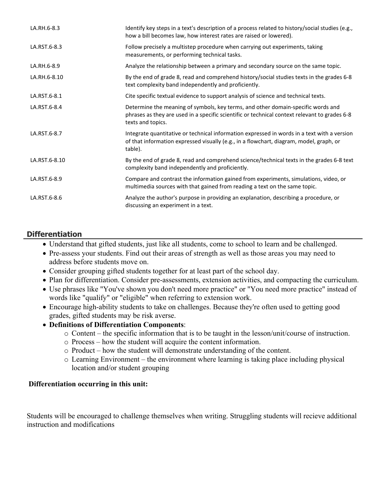| LA.RH.6-8.3   | Identify key steps in a text's description of a process related to history/social studies (e.g.,<br>how a bill becomes law, how interest rates are raised or lowered).                                 |
|---------------|--------------------------------------------------------------------------------------------------------------------------------------------------------------------------------------------------------|
| LA.RST.6-8.3  | Follow precisely a multistep procedure when carrying out experiments, taking<br>measurements, or performing technical tasks.                                                                           |
| LA.RH.6-8.9   | Analyze the relationship between a primary and secondary source on the same topic.                                                                                                                     |
| LA.RH.6-8.10  | By the end of grade 8, read and comprehend history/social studies texts in the grades 6-8<br>text complexity band independently and proficiently.                                                      |
| LA.RST.6-8.1  | Cite specific textual evidence to support analysis of science and technical texts.                                                                                                                     |
| LA.RST.6-8.4  | Determine the meaning of symbols, key terms, and other domain-specific words and<br>phrases as they are used in a specific scientific or technical context relevant to grades 6-8<br>texts and topics. |
| LA.RST.6-8.7  | Integrate quantitative or technical information expressed in words in a text with a version<br>of that information expressed visually (e.g., in a flowchart, diagram, model, graph, or<br>table).      |
| LA.RST.6-8.10 | By the end of grade 8, read and comprehend science/technical texts in the grades 6-8 text<br>complexity band independently and proficiently.                                                           |
| LA.RST.6-8.9  | Compare and contrast the information gained from experiments, simulations, video, or<br>multimedia sources with that gained from reading a text on the same topic.                                     |
| LA.RST.6-8.6  | Analyze the author's purpose in providing an explanation, describing a procedure, or<br>discussing an experiment in a text.                                                                            |

# **Differentiation**

- Understand that gifted students, just like all students, come to school to learn and be challenged.
- Pre-assess your students. Find out their areas of strength as well as those areas you may need to address before students move on.
- Consider grouping gifted students together for at least part of the school day.
- Plan for differentiation. Consider pre-assessments, extension activities, and compacting the curriculum.
- Use phrases like "You've shown you don't need more practice" or "You need more practice" instead of words like "qualify" or "eligible" when referring to extension work.
- Encourage high-ability students to take on challenges. Because they're often used to getting good grades, gifted students may be risk averse.
- **Definitions of Differentiation Components**:
	- o Content the specific information that is to be taught in the lesson/unit/course of instruction.
	- o Process how the student will acquire the content information.
	- o Product how the student will demonstrate understanding of the content.
	- o Learning Environment the environment where learning is taking place including physical location and/or student grouping

#### **Differentiation occurring in this unit:**

Students will be encouraged to challenge themselves when writing. Struggling students will recieve additional instruction and modifications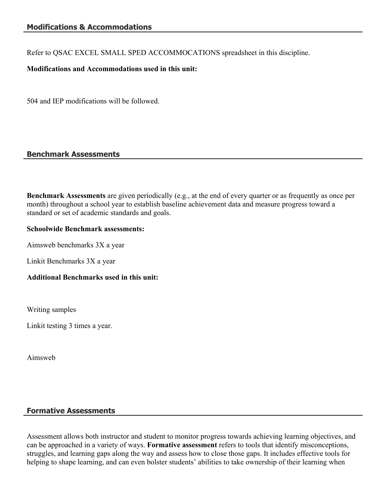Refer to QSAC EXCEL SMALL SPED ACCOMMOCATIONS spreadsheet in this discipline.

# **Modifications and Accommodations used in this unit:**

504 and IEP modifications will be followed.

# **Benchmark Assessments**

**Benchmark Assessments** are given periodically (e.g., at the end of every quarter or as frequently as once per month) throughout a school year to establish baseline achievement data and measure progress toward a standard or set of academic standards and goals.

# **Schoolwide Benchmark assessments:**

Aimsweb benchmarks 3X a year

Linkit Benchmarks 3X a year

# **Additional Benchmarks used in this unit:**

Writing samples

Linkit testing 3 times a year.

Aimsweb

# **Formative Assessments**

Assessment allows both instructor and student to monitor progress towards achieving learning objectives, and can be approached in a variety of ways. **Formative assessment** refers to tools that identify misconceptions, struggles, and learning gaps along the way and assess how to close those gaps. It includes effective tools for helping to shape learning, and can even bolster students' abilities to take ownership of their learning when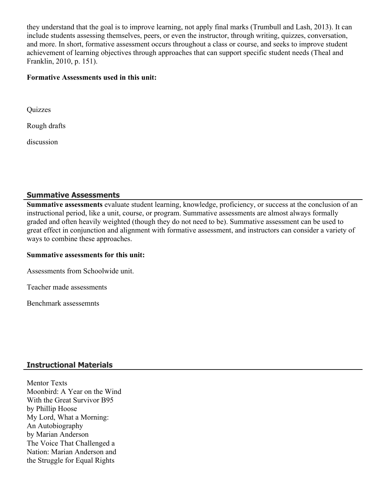they understand that the goal is to improve learning, not apply final marks (Trumbull and Lash, 2013). It can include students assessing themselves, peers, or even the instructor, through writing, quizzes, conversation, and more. In short, formative assessment occurs throughout a class or course, and seeks to improve student achievement of learning objectives through approaches that can support specific student needs (Theal and Franklin, 2010, p. 151).

#### **Formative Assessments used in this unit:**

**Quizzes** 

Rough drafts

discussion

# **Summative Assessments**

**Summative assessments** evaluate student learning, knowledge, proficiency, or success at the conclusion of an instructional period, like a unit, course, or program. Summative assessments are almost always formally graded and often heavily weighted (though they do not need to be). Summative assessment can be used to great effect in conjunction and alignment with formative assessment, and instructors can consider a variety of ways to combine these approaches.

#### **Summative assessments for this unit:**

Assessments from Schoolwide unit.

Teacher made assessments

Benchmark assessemnts

# **Instructional Materials**

Mentor Texts Moonbird: A Year on the Wind With the Great Survivor B95 by Phillip Hoose My Lord, What a Morning: An Autobiography by Marian Anderson The Voice That Challenged a Nation: Marian Anderson and the Struggle for Equal Rights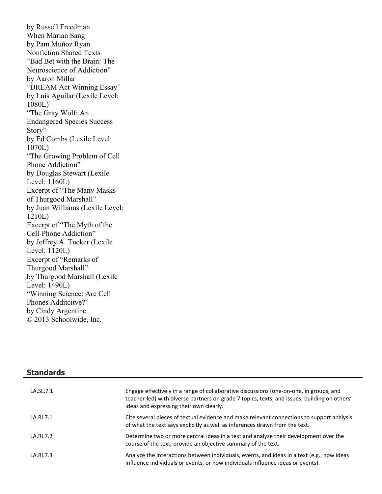by Russell Freedman When Marian Sang by Pam Muñoz Ryan Nonfiction Shared Texts "Bad Bet with the Brain: The Neuroscience of Addiction" by Aaron Millar "DREAM Act Winning Essay" by Luis Aguilar (Lexile Level: 1080L) "The Gray Wolf: An Endangered Species Success Story" by Ed Combs (Lexile Level: 1070L) "The Growing Problem of Cell Phone Addiction" by Douglas Stewart (Lexile Level: 1160L) Excerpt of "The Many Masks of Thurgood Marshall" by Juan Williams (Lexile Level: 1210L) Excerpt of "The Myth of the Cell-Phone Addiction" by Jeffrey A. Tucker (Lexile Level: 1120L) Excerpt of "Remarks of Thurgood Marshall" by Thurgood Marshall (Lexile Level: 1490L) "Winning Science: Are Cell Phones Additcitve?" by Cindy Argentine © 2013 Schoolwide, Inc.

| LA.SL.7.1 | Engage effectively in a range of collaborative discussions (one-on-one, in groups, and<br>teacher-led) with diverse partners on grade 7 topics, texts, and issues, building on others'<br>ideas and expressing their own clearly. |
|-----------|-----------------------------------------------------------------------------------------------------------------------------------------------------------------------------------------------------------------------------------|
| LA RL 7.1 | Cite several pieces of textual evidence and make relevant connections to support analysis<br>of what the text says explicitly as well as inferences drawn from the text.                                                          |
| LA.RI.7.2 | Determine two or more central ideas in a text and analyze their development over the<br>course of the text; provide an objective summary of the text.                                                                             |
| LA RL 7.3 | Analyze the interactions between individuals, events, and ideas in a text (e.g., how ideas<br>influence individuals or events, or how individuals influence ideas or events).                                                     |

#### **Standards**